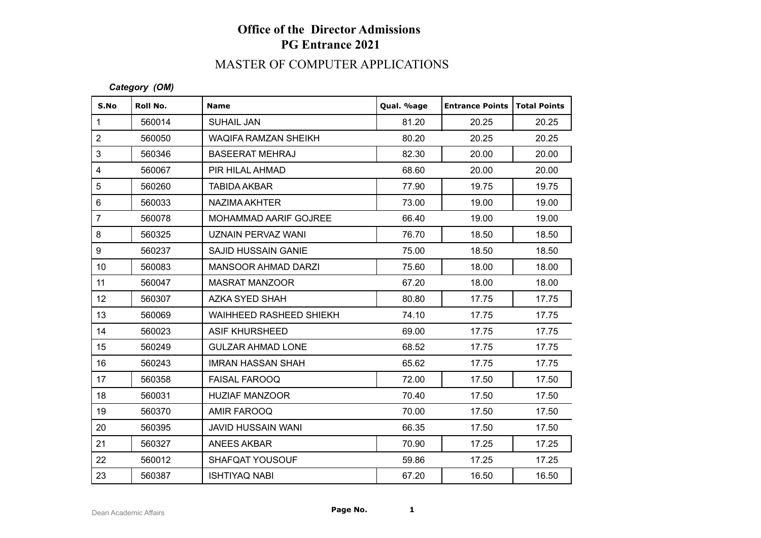# **Office of the Director Admissions PG Entrance 2021**

## MASTER OF COMPUTER APPLICATIONS

### *Category (OM)*

| S.No            | Roll No. | <b>Name</b>                 | Qual. %age | <b>Entrance Points</b> | <b>Total Points</b> |
|-----------------|----------|-----------------------------|------------|------------------------|---------------------|
| $\mathbf{1}$    | 560014   | <b>SUHAIL JAN</b>           | 81.20      | 20.25                  | 20.25               |
| $\overline{c}$  | 560050   | <b>WAQIFA RAMZAN SHEIKH</b> | 80.20      | 20.25                  | 20.25               |
| 3               | 560346   | <b>BASEERAT MEHRAJ</b>      | 82.30      | 20.00                  | 20.00               |
| 4               | 560067   | PIR HILAL AHMAD             | 68.60      | 20.00                  | 20.00               |
| 5               | 560260   | <b>TABIDA AKBAR</b>         | 77.90      | 19.75                  | 19.75               |
| 6               | 560033   | NAZIMA AKHTER               | 73.00      | 19.00                  | 19.00               |
| $\overline{7}$  | 560078   | MOHAMMAD AARIF GOJREE       | 66.40      | 19.00                  | 19.00               |
| 8               | 560325   | <b>UZNAIN PERVAZ WANI</b>   | 76.70      | 18.50                  | 18.50               |
| 9               | 560237   | <b>SAJID HUSSAIN GANIE</b>  | 75.00      | 18.50                  | 18.50               |
| 10 <sup>°</sup> | 560083   | <b>MANSOOR AHMAD DARZI</b>  | 75.60      | 18.00                  | 18.00               |
| 11              | 560047   | <b>MASRAT MANZOOR</b>       | 67.20      | 18.00                  | 18.00               |
| 12 <sup>°</sup> | 560307   | AZKA SYED SHAH              | 80.80      | 17.75                  | 17.75               |
| 13              | 560069   | WAIHHEED RASHEED SHIEKH     | 74.10      | 17.75                  | 17.75               |
| 14              | 560023   | <b>ASIF KHURSHEED</b>       | 69.00      | 17.75                  | 17.75               |
| 15              | 560249   | <b>GULZAR AHMAD LONE</b>    | 68.52      | 17.75                  | 17.75               |
| 16              | 560243   | <b>IMRAN HASSAN SHAH</b>    | 65.62      | 17.75                  | 17.75               |
| 17              | 560358   | <b>FAISAL FAROOQ</b>        | 72.00      | 17.50                  | 17.50               |
| 18              | 560031   | <b>HUZIAF MANZOOR</b>       | 70.40      | 17.50                  | 17.50               |
| 19              | 560370   | AMIR FAROOQ                 | 70.00      | 17.50                  | 17.50               |
| 20              | 560395   | <b>JAVID HUSSAIN WANI</b>   | 66.35      | 17.50                  | 17.50               |
| 21              | 560327   | <b>ANEES AKBAR</b>          | 70.90      | 17.25                  | 17.25               |
| 22              | 560012   | SHAFQAT YOUSOUF             | 59.86      | 17.25                  | 17.25               |
| 23              | 560387   | <b>ISHTIYAQ NABI</b>        | 67.20      | 16.50                  | 16.50               |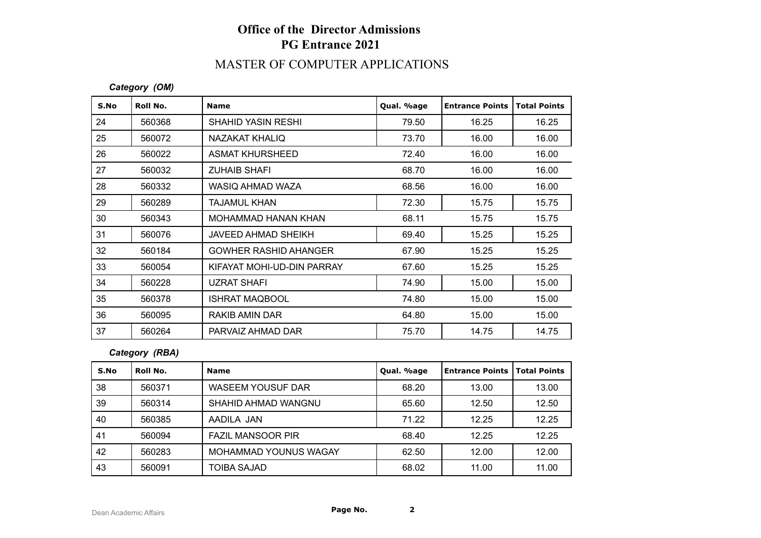# **Office of the Director Admissions PG Entrance 2021**

## MASTER OF COMPUTER APPLICATIONS

### *Category (OM)*

| S.No | Roll No. | <b>Name</b>                  | Qual. %age | <b>Entrance Points</b> | <b>Total Points</b> |
|------|----------|------------------------------|------------|------------------------|---------------------|
| 24   | 560368   | <b>SHAHID YASIN RESHI</b>    | 79.50      | 16.25                  | 16.25               |
| 25   | 560072   | NAZAKAT KHALIQ               | 73.70      | 16.00                  | 16.00               |
| 26   | 560022   | <b>ASMAT KHURSHEED</b>       | 72.40      | 16.00                  | 16.00               |
| 27   | 560032   | <b>ZUHAIB SHAFI</b>          | 68.70      | 16.00                  | 16.00               |
| 28   | 560332   | WASIQ AHMAD WAZA             | 68.56      | 16.00                  | 16.00               |
| 29   | 560289   | <b>TAJAMUL KHAN</b>          | 72.30      | 15.75                  | 15.75               |
| 30   | 560343   | <b>MOHAMMAD HANAN KHAN</b>   | 68.11      | 15.75                  | 15.75               |
| 31   | 560076   | JAVEED AHMAD SHEIKH          | 69.40      | 15.25                  | 15.25               |
| 32   | 560184   | <b>GOWHER RASHID AHANGER</b> | 67.90      | 15.25                  | 15.25               |
| 33   | 560054   | KIFAYAT MOHI-UD-DIN PARRAY   | 67.60      | 15.25                  | 15.25               |
| 34   | 560228   | <b>UZRAT SHAFI</b>           | 74.90      | 15.00                  | 15.00               |
| 35   | 560378   | <b>ISHRAT MAQBOOL</b>        | 74.80      | 15.00                  | 15.00               |
| 36   | 560095   | RAKIB AMIN DAR               | 64.80      | 15.00                  | 15.00               |
| 37   | 560264   | PARVAIZ AHMAD DAR            | 75.70      | 14.75                  | 14.75               |

#### *Category (RBA)*

| S.No | Roll No. | <b>Name</b>              | Qual. %age | l Entrance Points | <b>Total Points</b> |
|------|----------|--------------------------|------------|-------------------|---------------------|
| 38   | 560371   | <b>WASEEM YOUSUF DAR</b> | 68.20      | 13.00             | 13.00               |
| 39   | 560314   | SHAHID AHMAD WANGNU      | 65.60      | 12.50             | 12.50               |
| 40   | 560385   | AADILA JAN               | 71.22      | 12.25             | 12.25               |
| 41   | 560094   | <b>FAZIL MANSOOR PIR</b> | 68.40      | 12.25             | 12.25               |
| 42   | 560283   | MOHAMMAD YOUNUS WAGAY    | 62.50      | 12.00             | 12.00               |
| 43   | 560091   | TOIBA SAJAD              | 68.02      | 11.00             | 11.00               |